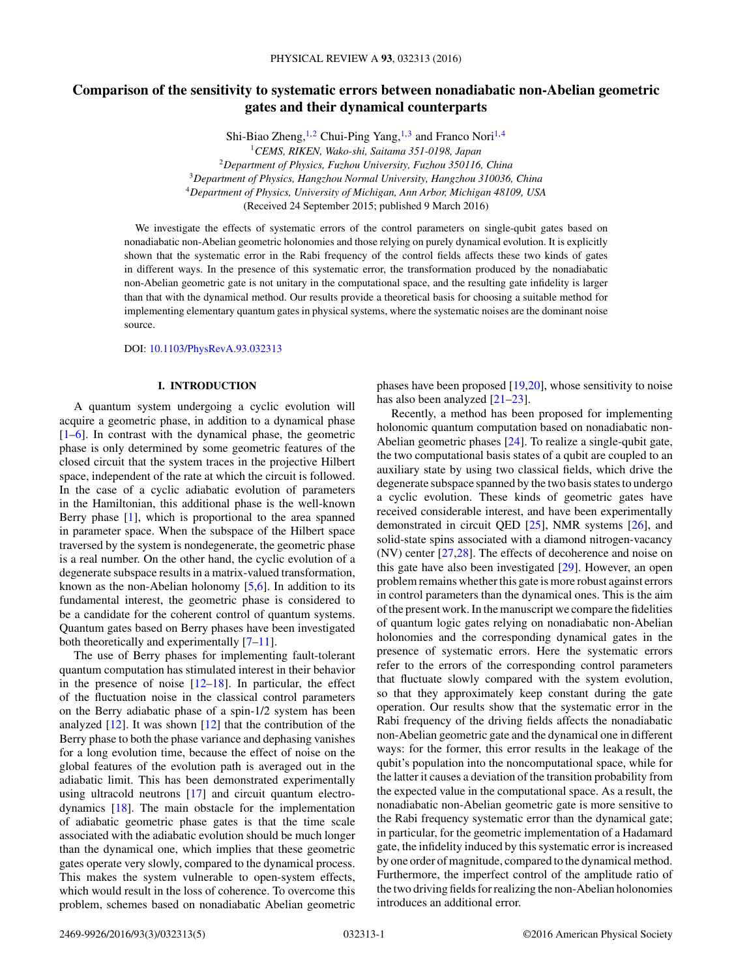# **Comparison of the sensitivity to systematic errors between nonadiabatic non-Abelian geometric gates and their dynamical counterparts**

Shi-Biao Zheng,<sup>1,2</sup> Chui-Ping Yang,<sup>1,3</sup> and Franco Nori<sup>1,4</sup>

*CEMS, RIKEN, Wako-shi, Saitama 351-0198, Japan Department of Physics, Fuzhou University, Fuzhou 350116, China Department of Physics, Hangzhou Normal University, Hangzhou 310036, China Department of Physics, University of Michigan, Ann Arbor, Michigan 48109, USA* (Received 24 September 2015; published 9 March 2016)

We investigate the effects of systematic errors of the control parameters on single-qubit gates based on nonadiabatic non-Abelian geometric holonomies and those relying on purely dynamical evolution. It is explicitly shown that the systematic error in the Rabi frequency of the control fields affects these two kinds of gates in different ways. In the presence of this systematic error, the transformation produced by the nonadiabatic non-Abelian geometric gate is not unitary in the computational space, and the resulting gate infidelity is larger than that with the dynamical method. Our results provide a theoretical basis for choosing a suitable method for implementing elementary quantum gates in physical systems, where the systematic noises are the dominant noise source.

DOI: [10.1103/PhysRevA.93.032313](http://dx.doi.org/10.1103/PhysRevA.93.032313)

## **I. INTRODUCTION**

A quantum system undergoing a cyclic evolution will acquire a geometric phase, in addition to a dynamical phase [\[1–6\]](#page-3-0). In contrast with the dynamical phase, the geometric phase is only determined by some geometric features of the closed circuit that the system traces in the projective Hilbert space, independent of the rate at which the circuit is followed. In the case of a cyclic adiabatic evolution of parameters in the Hamiltonian, this additional phase is the well-known Berry phase [\[1\]](#page-3-0), which is proportional to the area spanned in parameter space. When the subspace of the Hilbert space traversed by the system is nondegenerate, the geometric phase is a real number. On the other hand, the cyclic evolution of a degenerate subspace results in a matrix-valued transformation, known as the non-Abelian holonomy  $[5,6]$ . In addition to its fundamental interest, the geometric phase is considered to be a candidate for the coherent control of quantum systems. Quantum gates based on Berry phases have been investigated both theoretically and experimentally  $[7-11]$  $[7-11]$ .

The use of Berry phases for implementing fault-tolerant quantum computation has stimulated interest in their behavior in the presence of noise  $[12-18]$ . In particular, the effect of the fluctuation noise in the classical control parameters on the Berry adiabatic phase of a spin-1/2 system has been analyzed [\[12\]](#page-4-0). It was shown [\[12\]](#page-4-0) that the contribution of the Berry phase to both the phase variance and dephasing vanishes for a long evolution time, because the effect of noise on the global features of the evolution path is averaged out in the adiabatic limit. This has been demonstrated experimentally using ultracold neutrons [\[17\]](#page-4-0) and circuit quantum electrodynamics [\[18\]](#page-4-0). The main obstacle for the implementation of adiabatic geometric phase gates is that the time scale associated with the adiabatic evolution should be much longer than the dynamical one, which implies that these geometric gates operate very slowly, compared to the dynamical process. This makes the system vulnerable to open-system effects, which would result in the loss of coherence. To overcome this problem, schemes based on nonadiabatic Abelian geometric

phases have been proposed [\[19,20\]](#page-4-0), whose sensitivity to noise has also been analyzed [\[21–23\]](#page-4-0).

Recently, a method has been proposed for implementing holonomic quantum computation based on nonadiabatic non-Abelian geometric phases [\[24\]](#page-4-0). To realize a single-qubit gate, the two computational basis states of a qubit are coupled to an auxiliary state by using two classical fields, which drive the degenerate subspace spanned by the two basis states to undergo a cyclic evolution. These kinds of geometric gates have received considerable interest, and have been experimentally demonstrated in circuit QED [\[25\]](#page-4-0), NMR systems [\[26\]](#page-4-0), and solid-state spins associated with a diamond nitrogen-vacancy (NV) center [\[27,28\]](#page-4-0). The effects of decoherence and noise on this gate have also been investigated [\[29\]](#page-4-0). However, an open problem remains whether this gate is more robust against errors in control parameters than the dynamical ones. This is the aim of the present work. In the manuscript we compare the fidelities of quantum logic gates relying on nonadiabatic non-Abelian holonomies and the corresponding dynamical gates in the presence of systematic errors. Here the systematic errors refer to the errors of the corresponding control parameters that fluctuate slowly compared with the system evolution, so that they approximately keep constant during the gate operation. Our results show that the systematic error in the Rabi frequency of the driving fields affects the nonadiabatic non-Abelian geometric gate and the dynamical one in different ways: for the former, this error results in the leakage of the qubit's population into the noncomputational space, while for the latter it causes a deviation of the transition probability from the expected value in the computational space. As a result, the nonadiabatic non-Abelian geometric gate is more sensitive to the Rabi frequency systematic error than the dynamical gate; in particular, for the geometric implementation of a Hadamard gate, the infidelity induced by this systematic error is increased by one order of magnitude, compared to the dynamical method. Furthermore, the imperfect control of the amplitude ratio of the two driving fields for realizing the non-Abelian holonomies introduces an additional error.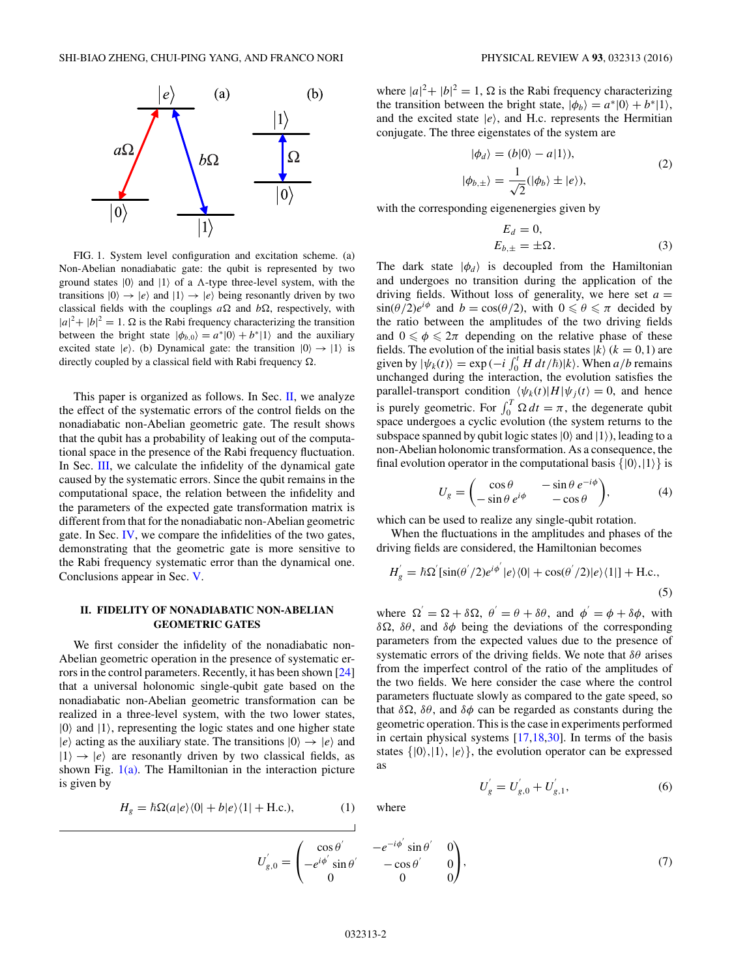<span id="page-1-0"></span>

FIG. 1. System level configuration and excitation scheme. (a) Non-Abelian nonadiabatic gate: the qubit is represented by two ground states  $|0\rangle$  and  $|1\rangle$  of a  $\Lambda$ -type three-level system, with the transitions  $|0\rangle \rightarrow |e\rangle$  and  $|1\rangle \rightarrow |e\rangle$  being resonantly driven by two classical fields with the couplings  $a\Omega$  and  $b\Omega$ , respectively, with  $|a|^2 + |b|^2 = 1$ .  $\Omega$  is the Rabi frequency characterizing the transition between the bright state  $|\phi_{b,0}\rangle = a^*|0\rangle + b^*|1\rangle$  and the auxiliary excited state  $|e\rangle$ . (b) Dynamical gate: the transition  $|0\rangle \rightarrow |1\rangle$  is directly coupled by a classical field with Rabi frequency  $\Omega$ .

This paper is organized as follows. In Sec. II, we analyze the effect of the systematic errors of the control fields on the nonadiabatic non-Abelian geometric gate. The result shows that the qubit has a probability of leaking out of the computational space in the presence of the Rabi frequency fluctuation. In Sec. [III,](#page-2-0) we calculate the infidelity of the dynamical gate caused by the systematic errors. Since the qubit remains in the computational space, the relation between the infidelity and the parameters of the expected gate transformation matrix is different from that for the nonadiabatic non-Abelian geometric gate. In Sec. [IV,](#page-3-0) we compare the infidelities of the two gates, demonstrating that the geometric gate is more sensitive to the Rabi frequency systematic error than the dynamical one. Conclusions appear in Sec. [V.](#page-3-0)

## **II. FIDELITY OF NONADIABATIC NON-ABELIAN GEOMETRIC GATES**

We first consider the infidelity of the nonadiabatic non-Abelian geometric operation in the presence of systematic errors in the control parameters. Recently, it has been shown [\[24\]](#page-4-0) that a universal holonomic single-qubit gate based on the nonadiabatic non-Abelian geometric transformation can be realized in a three-level system, with the two lower states,  $|0\rangle$  and  $|1\rangle$ , representing the logic states and one higher state  $|e\rangle$  acting as the auxiliary state. The transitions  $|0\rangle \rightarrow |e\rangle$  and  $|1\rangle \rightarrow |e\rangle$  are resonantly driven by two classical fields, as shown Fig.  $1(a)$ . The Hamiltonian in the interaction picture is given by

$$
H_g = \hbar \Omega(a|e\rangle\langle 0| + b|e\rangle\langle 1| + \text{H.c.}),\tag{1}
$$

where  $|a|^2 + |b|^2 = 1$ ,  $\Omega$  is the Rabi frequency characterizing the transition between the bright state,  $|\phi_b\rangle = a^*|0\rangle + b^*|1\rangle$ , and the excited state  $|e\rangle$ , and H.c. represents the Hermitian conjugate. The three eigenstates of the system are

$$
|\phi_d\rangle = (b|0\rangle - a|1\rangle),
$$
  

$$
|\phi_{b,\pm}\rangle = \frac{1}{\sqrt{2}}(|\phi_b\rangle \pm |e\rangle),
$$
 (2)

with the corresponding eigenenergies given by

$$
E_d = 0,
$$
  
\n
$$
E_{b,\pm} = \pm \Omega.
$$
\n(3)

The dark state  $|\phi_d\rangle$  is decoupled from the Hamiltonian and undergoes no transition during the application of the driving fields. Without loss of generality, we here set  $a =$  $\sin(\theta/2)e^{i\phi}$  and  $b = \cos(\theta/2)$ , with  $0 \le \theta \le \pi$  decided by the ratio between the amplitudes of the two driving fields and  $0 \le \phi \le 2\pi$  depending on the relative phase of these fields. The evolution of the initial basis states  $|k\rangle$  ( $k = 0, 1$ ) are given by  $|\psi_k(t)\rangle = \exp(-i\int_0^t H dt/\hbar)|k\rangle$ . When *a/b* remains unchanged during the interaction, the evolution satisfies the parallel-transport condition  $\langle \psi_k(t) | H | \psi_j(t) = 0$ , and hence is purely geometric. For  $\int_0^T \Omega dt = \pi$ , the degenerate qubit space undergoes a cyclic evolution (the system returns to the subspace spanned by qubit logic states  $|0\rangle$  and  $|1\rangle$ ), leading to a non-Abelian holonomic transformation. As a consequence, the final evolution operator in the computational basis  $\{|0\rangle, |1\rangle\}$  is

$$
U_g = \begin{pmatrix} \cos \theta & -\sin \theta \, e^{-i\phi} \\ -\sin \theta \, e^{i\phi} & -\cos \theta \end{pmatrix},\tag{4}
$$

which can be used to realize any single-qubit rotation.

When the fluctuations in the amplitudes and phases of the driving fields are considered, the Hamiltonian becomes

$$
H'_{g} = \hbar \Omega' \left[ \sin(\theta'/2) e^{i\phi'} |e\rangle \langle 0| + \cos(\theta'/2) |e\rangle \langle 1| \right] + \text{H.c.},\tag{5}
$$

where  $\Omega' = \Omega + \delta\Omega$ ,  $\theta' = \theta + \delta\theta$ , and  $\phi' = \phi + \delta\phi$ , with *δ*, *δθ*, and *δφ* being the deviations of the corresponding parameters from the expected values due to the presence of systematic errors of the driving fields. We note that *δθ* arises from the imperfect control of the ratio of the amplitudes of the two fields. We here consider the case where the control parameters fluctuate slowly as compared to the gate speed, so that  $\delta\Omega$ ,  $\delta\theta$ , and  $\delta\phi$  can be regarded as constants during the geometric operation. This is the case in experiments performed in certain physical systems [\[17,18,30\]](#page-4-0). In terms of the basis states  $\{|0\rangle, |1\rangle, |e\rangle\}$ , the evolution operator can be expressed as

$$
U'_{g} = U'_{g,0} + U'_{g,1},\tag{6}
$$

$$
U'_{g,0} = \begin{pmatrix} \cos \theta' & -e^{-i\phi'} \sin \theta' & 0 \\ -e^{i\phi'} \sin \theta' & -\cos \theta' & 0 \\ 0 & 0 & 0 \end{pmatrix},
$$
(7)

where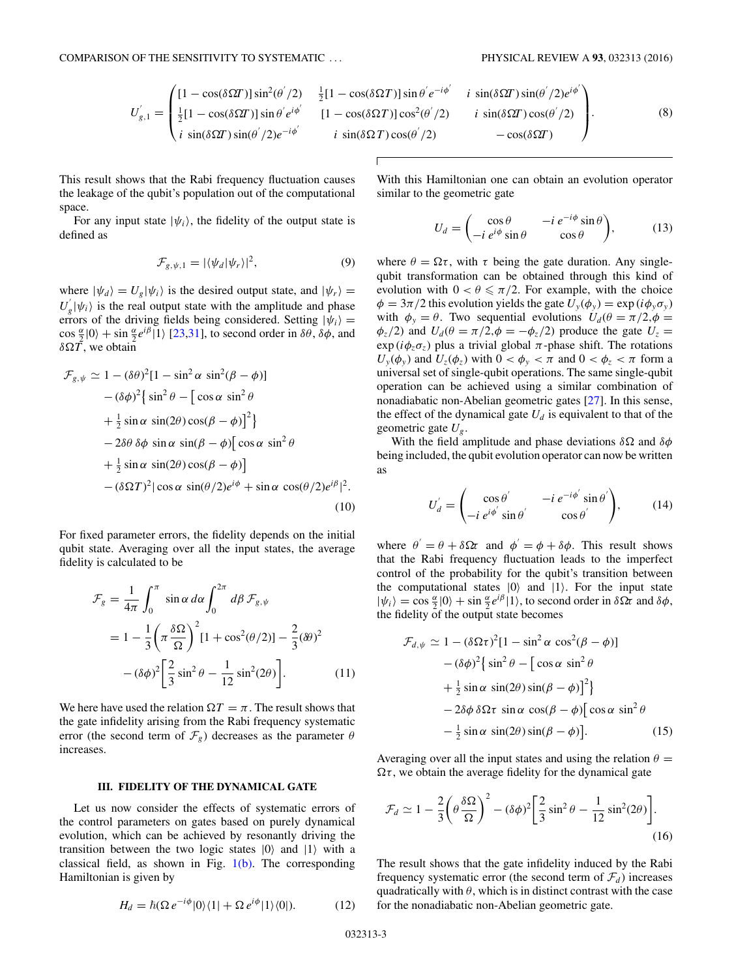<span id="page-2-0"></span>
$$
U'_{g,1} = \begin{pmatrix} [1 - \cos(\delta \Omega T)] \sin^2(\theta'/2) & \frac{1}{2} [1 - \cos(\delta \Omega T)] \sin \theta' e^{-i\phi'} & i \sin(\delta \Omega T) \sin(\theta'/2) e^{i\phi'} \\ \frac{1}{2} [1 - \cos(\delta \Omega T)] \sin \theta' e^{i\phi'} & [1 - \cos(\delta \Omega T)] \cos^2(\theta'/2) & i \sin(\delta \Omega T) \cos(\theta'/2) \\ i \sin(\delta \Omega T) \sin(\theta'/2) e^{-i\phi'} & i \sin(\delta \Omega T) \cos(\theta'/2) & -\cos(\delta \Omega T) \end{pmatrix}.
$$
 (8)

This result shows that the Rabi frequency fluctuation causes the leakage of the qubit's population out of the computational space.

For any input state  $|\psi_i\rangle$ , the fidelity of the output state is defined as

$$
\mathcal{F}_{g,\psi,1} = |\langle \psi_d | \psi_r \rangle|^2, \tag{9}
$$

where  $|\psi_d\rangle = U_g |\psi_i\rangle$  is the desired output state, and  $|\psi_r\rangle =$  $U'_{g}|\psi_{i}\rangle$  is the real output state with the amplitude and phase errors of the driving fields being considered. Setting  $|\psi_i\rangle$  =  $\cos \frac{\alpha}{2} |0\rangle + \sin \frac{\alpha}{2} e^{i\beta} |1\rangle$  [\[23,31\]](#page-4-0), to second order in  $\delta\theta$ ,  $\delta\phi$ , and  $\delta \Omega \overline{T}$ , we obtain

$$
\mathcal{F}_{g,\psi} \simeq 1 - (\delta \theta)^2 [1 - \sin^2 \alpha \sin^2(\beta - \phi)]
$$
  
\n
$$
- (\delta \phi)^2 \{ \sin^2 \theta - [\cos \alpha \sin^2 \theta
$$
  
\n
$$
+ \frac{1}{2} \sin \alpha \sin(2\theta) \cos(\beta - \phi)]^2 \}
$$
  
\n
$$
- 2\delta \theta \delta \phi \sin \alpha \sin(\beta - \phi) [\cos \alpha \sin^2 \theta
$$
  
\n
$$
+ \frac{1}{2} \sin \alpha \sin(2\theta) \cos(\beta - \phi)]
$$
  
\n
$$
- (\delta \Omega T)^2 |\cos \alpha \sin(\theta/2)e^{i\phi} + \sin \alpha \cos(\theta/2)e^{i\beta}|^2.
$$
  
\n(10)

For fixed parameter errors, the fidelity depends on the initial qubit state. Averaging over all the input states, the average fidelity is calculated to be

$$
\mathcal{F}_g = \frac{1}{4\pi} \int_0^{\pi} \sin \alpha \, d\alpha \int_0^{2\pi} d\beta \, \mathcal{F}_{g,\psi}
$$
  
=  $1 - \frac{1}{3} \left( \pi \frac{\delta \Omega}{\Omega} \right)^2 [1 + \cos^2(\theta/2)] - \frac{2}{3} (\mathcal{B})^2$   
 $-(\delta \phi)^2 \left[ \frac{2}{3} \sin^2 \theta - \frac{1}{12} \sin^2(2\theta) \right].$  (11)

We here have used the relation  $\Omega T = \pi$ . The result shows that the gate infidelity arising from the Rabi frequency systematic error (the second term of  $\mathcal{F}_g$ ) decreases as the parameter  $\theta$ increases.

#### **III. FIDELITY OF THE DYNAMICAL GATE**

Let us now consider the effects of systematic errors of the control parameters on gates based on purely dynamical evolution, which can be achieved by resonantly driving the transition between the two logic states  $|0\rangle$  and  $|1\rangle$  with a classical field, as shown in Fig.  $1(b)$ . The corresponding Hamiltonian is given by

$$
H_d = \hbar \left( \Omega \, e^{-i\phi} |0\rangle\langle 1| + \Omega \, e^{i\phi} |1\rangle\langle 0| \right). \tag{12}
$$

With this Hamiltonian one can obtain an evolution operator similar to the geometric gate

$$
U_d = \begin{pmatrix} \cos \theta & -i e^{-i\phi} \sin \theta \\ -i e^{i\phi} \sin \theta & \cos \theta \end{pmatrix}, \quad (13)
$$

where  $\theta = \Omega \tau$ , with  $\tau$  being the gate duration. Any singlequbit transformation can be obtained through this kind of evolution with  $0 < \theta \le \pi/2$ . For example, with the choice  $\phi = 3\pi/2$  this evolution yields the gate  $U_y(\phi_y) = \exp(i\phi_y \sigma_y)$ with  $\phi_y = \theta$ . Two sequential evolutions  $U_d(\theta = \pi/2, \phi =$  $\phi_z/2$ ) and  $U_d(\theta = \pi/2, \phi = -\phi_z/2)$  produce the gate  $U_z =$  $\exp(i\phi_{z}\sigma_{z})$  plus a trivial global  $\pi$ -phase shift. The rotations  $U_y(\phi_y)$  and  $U_z(\phi_z)$  with  $0 < \phi_y < \pi$  and  $0 < \phi_z < \pi$  form a universal set of single-qubit operations. The same single-qubit operation can be achieved using a similar combination of nonadiabatic non-Abelian geometric gates [\[27\]](#page-4-0). In this sense, the effect of the dynamical gate  $U_d$  is equivalent to that of the geometric gate *Ug*.

With the field amplitude and phase deviations  $\delta\Omega$  and  $\delta\phi$ being included, the qubit evolution operator can now be written as

$$
U_{d}^{'} = \begin{pmatrix} \cos \theta^{'} & -i e^{-i\phi'} \sin \theta' \\ -i e^{i\phi'} \sin \theta' & \cos \theta' \end{pmatrix}, \quad (14)
$$

where  $\theta' = \theta + \delta \Omega t$  and  $\phi' = \phi + \delta \phi$ . This result shows that the Rabi frequency fluctuation leads to the imperfect control of the probability for the qubit's transition between the computational states  $|0\rangle$  and  $|1\rangle$ . For the input state  $|\psi_i\rangle = \cos\frac{\alpha}{2} |0\rangle + \sin\frac{\alpha}{2} e^{i\beta} |1\rangle$ , to second order in  $\delta \Omega \bar{x}$  and  $\delta \phi$ , the fidelity of the output state becomes

$$
\mathcal{F}_{d,\psi} \simeq 1 - (\delta \Omega \tau)^2 [1 - \sin^2 \alpha \cos^2(\beta - \phi)]
$$
  
\n
$$
- (\delta \phi)^2 \{ \sin^2 \theta - [\cos \alpha \sin^2 \theta
$$
  
\n
$$
+ \frac{1}{2} \sin \alpha \sin(2\theta) \sin(\beta - \phi)]^2 \}
$$
  
\n
$$
- 2\delta \phi \delta \Omega \tau \sin \alpha \cos(\beta - \phi) [\cos \alpha \sin^2 \theta
$$
  
\n
$$
- \frac{1}{2} \sin \alpha \sin(2\theta) \sin(\beta - \phi)]. \qquad (15)
$$

Averaging over all the input states and using the relation  $\theta =$  $\Omega \tau$ , we obtain the average fidelity for the dynamical gate

$$
\mathcal{F}_d \simeq 1 - \frac{2}{3} \left( \theta \frac{\delta \Omega}{\Omega} \right)^2 - (\delta \phi)^2 \left[ \frac{2}{3} \sin^2 \theta - \frac{1}{12} \sin^2 (2\theta) \right].
$$
\n(16)

The result shows that the gate infidelity induced by the Rabi frequency systematic error (the second term of  $\mathcal{F}_d$ ) increases quadratically with  $\theta$ , which is in distinct contrast with the case for the nonadiabatic non-Abelian geometric gate.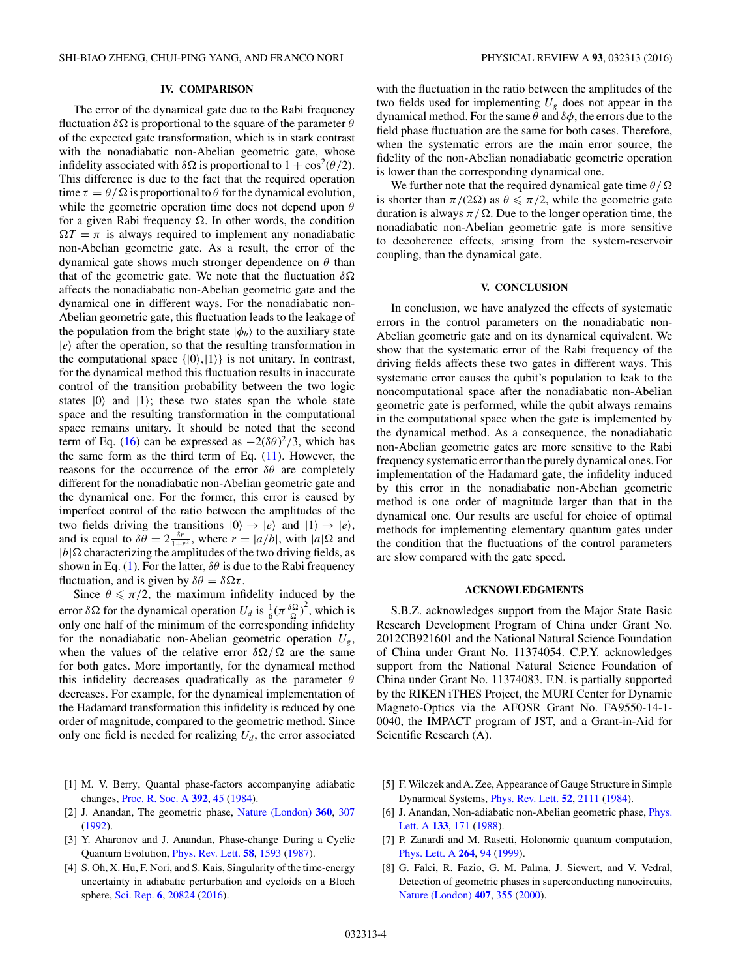#### **IV. COMPARISON**

<span id="page-3-0"></span>The error of the dynamical gate due to the Rabi frequency fluctuation  $δΩ$  is proportional to the square of the parameter  $θ$ of the expected gate transformation, which is in stark contrast with the nonadiabatic non-Abelian geometric gate, whose infidelity associated with  $\delta\Omega$  is proportional to  $1 + \cos^2(\theta/2)$ . This difference is due to the fact that the required operation time  $\tau = \theta / \Omega$  is proportional to  $\theta$  for the dynamical evolution, while the geometric operation time does not depend upon *θ* for a given Rabi frequency  $\Omega$ . In other words, the condition  $\Omega T = \pi$  is always required to implement any nonadiabatic non-Abelian geometric gate. As a result, the error of the dynamical gate shows much stronger dependence on *θ* than that of the geometric gate. We note that the fluctuation  $\delta\Omega$ affects the nonadiabatic non-Abelian geometric gate and the dynamical one in different ways. For the nonadiabatic non-Abelian geometric gate, this fluctuation leads to the leakage of the population from the bright state  $|\phi_b\rangle$  to the auxiliary state  $|e\rangle$  after the operation, so that the resulting transformation in the computational space  $\{|0\rangle, |1\rangle\}$  is not unitary. In contrast, for the dynamical method this fluctuation results in inaccurate control of the transition probability between the two logic states  $|0\rangle$  and  $|1\rangle$ ; these two states span the whole state space and the resulting transformation in the computational space remains unitary. It should be noted that the second term of Eq. [\(16\)](#page-2-0) can be expressed as  $-2(\delta\theta)^2/3$ , which has the same form as the third term of Eq.  $(11)$ . However, the reasons for the occurrence of the error *δθ* are completely different for the nonadiabatic non-Abelian geometric gate and the dynamical one. For the former, this error is caused by imperfect control of the ratio between the amplitudes of the two fields driving the transitions  $|0\rangle \rightarrow |e\rangle$  and  $|1\rangle \rightarrow |e\rangle$ , and is equal to  $\delta\theta = 2 \frac{\delta r}{1+r^2}$ , where  $r = |a/b|$ , with  $|a|\Omega$  and  $|b|\Omega$  characterizing the amplitudes of the two driving fields, as shown in Eq. [\(1\)](#page-1-0). For the latter,  $\delta\theta$  is due to the Rabi frequency fluctuation, and is given by  $\delta\theta = \delta\Omega\tau$ .

Since  $\theta \le \pi/2$ , the maximum infidelity induced by the error *δ*Ω for the dynamical operation  $U_d$  is  $\frac{1}{6}$  (*π*  $\frac{\delta\Omega}{\Omega}$ )<sup>2</sup>, which is only one half of the minimum of the corresponding infidelity for the nonadiabatic non-Abelian geometric operation  $U_{\varrho}$ , when the values of the relative error  $\delta\Omega/\Omega$  are the same for both gates. More importantly, for the dynamical method this infidelity decreases quadratically as the parameter *θ* decreases. For example, for the dynamical implementation of the Hadamard transformation this infidelity is reduced by one order of magnitude, compared to the geometric method. Since only one field is needed for realizing  $U_d$ , the error associated with the fluctuation in the ratio between the amplitudes of the two fields used for implementing  $U_g$  does not appear in the dynamical method. For the same *θ* and *δφ*, the errors due to the field phase fluctuation are the same for both cases. Therefore, when the systematic errors are the main error source, the fidelity of the non-Abelian nonadiabatic geometric operation is lower than the corresponding dynamical one.

We further note that the required dynamical gate time  $\theta/\Omega$ is shorter than  $\pi/(2\Omega)$  as  $\theta \le \pi/2$ , while the geometric gate duration is always  $\pi/\Omega$ . Due to the longer operation time, the nonadiabatic non-Abelian geometric gate is more sensitive to decoherence effects, arising from the system-reservoir coupling, than the dynamical gate.

### **V. CONCLUSION**

In conclusion, we have analyzed the effects of systematic errors in the control parameters on the nonadiabatic non-Abelian geometric gate and on its dynamical equivalent. We show that the systematic error of the Rabi frequency of the driving fields affects these two gates in different ways. This systematic error causes the qubit's population to leak to the noncomputational space after the nonadiabatic non-Abelian geometric gate is performed, while the qubit always remains in the computational space when the gate is implemented by the dynamical method. As a consequence, the nonadiabatic non-Abelian geometric gates are more sensitive to the Rabi frequency systematic error than the purely dynamical ones. For implementation of the Hadamard gate, the infidelity induced by this error in the nonadiabatic non-Abelian geometric method is one order of magnitude larger than that in the dynamical one. Our results are useful for choice of optimal methods for implementing elementary quantum gates under the condition that the fluctuations of the control parameters are slow compared with the gate speed.

#### **ACKNOWLEDGMENTS**

S.B.Z. acknowledges support from the Major State Basic Research Development Program of China under Grant No. 2012CB921601 and the National Natural Science Foundation of China under Grant No. 11374054. C.P.Y. acknowledges support from the National Natural Science Foundation of China under Grant No. 11374083. F.N. is partially supported by the RIKEN iTHES Project, the MURI Center for Dynamic Magneto-Optics via the AFOSR Grant No. FA9550-14-1- 0040, the IMPACT program of JST, and a Grant-in-Aid for Scientific Research (A).

- [1] M. V. Berry, Quantal phase-factors accompanying adiabatic changes, [Proc. R. Soc. A](http://dx.doi.org/10.1098/rspa.1984.0023) **[392](http://dx.doi.org/10.1098/rspa.1984.0023)**, [45](http://dx.doi.org/10.1098/rspa.1984.0023) [\(1984\)](http://dx.doi.org/10.1098/rspa.1984.0023).
- [2] J. Anandan, The geometric phase, [Nature \(London\)](http://dx.doi.org/10.1038/360307a0) **[360](http://dx.doi.org/10.1038/360307a0)**, [307](http://dx.doi.org/10.1038/360307a0) [\(1992\)](http://dx.doi.org/10.1038/360307a0).
- [3] Y. Aharonov and J. Anandan, Phase-change During a Cyclic Quantum Evolution, [Phys. Rev. Lett.](http://dx.doi.org/10.1103/PhysRevLett.58.1593) **[58](http://dx.doi.org/10.1103/PhysRevLett.58.1593)**, [1593](http://dx.doi.org/10.1103/PhysRevLett.58.1593) [\(1987\)](http://dx.doi.org/10.1103/PhysRevLett.58.1593).
- [4] S. Oh, X. Hu, F. Nori, and S. Kais, Singularity of the time-energy uncertainty in adiabatic perturbation and cycloids on a Bloch sphere, [Sci. Rep.](http://dx.doi.org/10.1038/srep20824) **[6](http://dx.doi.org/10.1038/srep20824)**, [20824](http://dx.doi.org/10.1038/srep20824) [\(2016\)](http://dx.doi.org/10.1038/srep20824).
- [5] F. Wilczek and A. Zee, Appearance of Gauge Structure in Simple Dynamical Systems, [Phys. Rev. Lett.](http://dx.doi.org/10.1103/PhysRevLett.52.2111) **[52](http://dx.doi.org/10.1103/PhysRevLett.52.2111)**, [2111](http://dx.doi.org/10.1103/PhysRevLett.52.2111) [\(1984\)](http://dx.doi.org/10.1103/PhysRevLett.52.2111).
- [6] [J. Anandan, Non-adiabatic non-Abelian geometric phase,](http://dx.doi.org/10.1016/0375-9601(88)91010-9) Phys. Lett. A **[133](http://dx.doi.org/10.1016/0375-9601(88)91010-9)**, [171](http://dx.doi.org/10.1016/0375-9601(88)91010-9) [\(1988\)](http://dx.doi.org/10.1016/0375-9601(88)91010-9).
- [7] P. Zanardi and M. Rasetti, Holonomic quantum computation, [Phys. Lett. A](http://dx.doi.org/10.1016/S0375-9601(99)00803-8) **[264](http://dx.doi.org/10.1016/S0375-9601(99)00803-8)**, [94](http://dx.doi.org/10.1016/S0375-9601(99)00803-8) [\(1999\)](http://dx.doi.org/10.1016/S0375-9601(99)00803-8).
- [8] G. Falci, R. Fazio, G. M. Palma, J. Siewert, and V. Vedral, Detection of geometric phases in superconducting nanocircuits, [Nature \(London\)](http://dx.doi.org/10.1038/35030052) **[407](http://dx.doi.org/10.1038/35030052)**, [355](http://dx.doi.org/10.1038/35030052) [\(2000\)](http://dx.doi.org/10.1038/35030052).